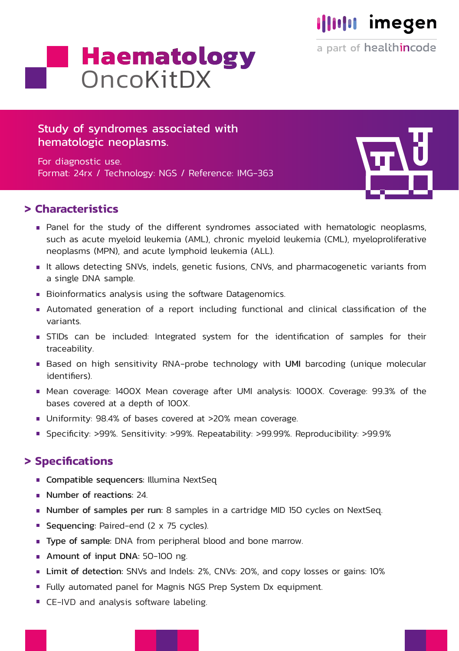# **Illulu** imegen

a part of healthincode

# **Haematology** OncoKitDX

### Study of syndromes associated with hematologic neoplasms.

For diagnostic use. Format: 24rx / Technology: NGS / Reference: IMG-363

#### **> Characteristics**

- Panel for the study of the different syndromes associated with hematologic neoplasms, such as acute myeloid leukemia (AML), chronic myeloid leukemia (CML), myeloproliferative neoplasms (MPN), and acute lymphoid leukemia (ALL).
- It allows detecting SNVs, indels, genetic fusions, CNVs, and pharmacogenetic variants from a single DNA sample.
- Bioinformatics analysis using the software Datagenomics.
- Automated generation of a report including functional and clinical classification of the variants.
- STIDs can be included: Integrated system for the identification of samples for their traceability.
- Based on high sensitivity RNA-probe technology with UMI barcoding (unique molecular identifiers).
- Mean coverage: 1400X Mean coverage after UMI analysis: 1000X. Coverage: 99.3% of the bases covered at a depth of 100X.
- Uniformity: 98.4% of bases covered at >20% mean coverage.
- Specificity: >99%. Sensitivity: >99%. Repeatability: >99.99%. Reproducibility: >99.9%

# **> Specifications**

- **Compatible sequencers: Illumina NextSeq**
- Number of reactions: 24.
- Number of samples per run: 8 samples in a cartridge MID 150 cycles on NextSeq.
- Sequencing: Paired-end (2 x 75 cycles).
- **Type of sample:** DNA from peripheral blood and bone marrow.
- Amount of input DNA: 50-100 ng.
- **Limit of detection:** SNVs and Indels: 2%, CNVs: 20%, and copy losses or gains: 10%
- Fully automated panel for Magnis NGS Prep System Dx equipment.
- **CE-IVD and analysis software labeling.**